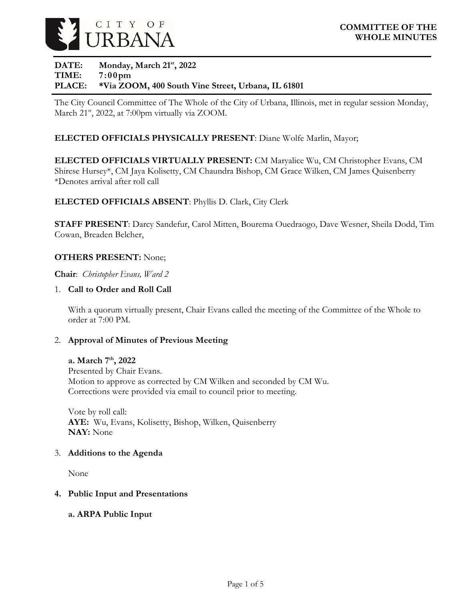

## **DATE: Monday, March 21st, 2022 TIME: 7:00pm PLACE: \*Via ZOOM, 400 South Vine Street, Urbana, IL 61801**

The City Council Committee of The Whole of the City of Urbana, Illinois, met in regular session Monday, March 21<sup>st</sup>, 2022, at 7:00pm virtually via ZOOM.

## **ELECTED OFFICIALS PHYSICALLY PRESENT**: Diane Wolfe Marlin, Mayor;

**ELECTED OFFICIALS VIRTUALLY PRESENT:** CM Maryalice Wu, CM Christopher Evans, CM Shirese Hursey\*, CM Jaya Kolisetty, CM Chaundra Bishop, CM Grace Wilken, CM James Quisenberry \*Denotes arrival after roll call

#### **ELECTED OFFICIALS ABSENT**: Phyllis D. Clark, City Clerk

**STAFF PRESENT**: Darcy Sandefur, Carol Mitten, Bourema Ouedraogo, Dave Wesner, Sheila Dodd, Tim Cowan, Breaden Belcher,

#### **OTHERS PRESENT:** None;

**Chair**: *Christopher Evans, Ward 2*

#### 1. **Call to Order and Roll Call**

With a quorum virtually present, Chair Evans called the meeting of the Committee of the Whole to order at 7:00 PM.

#### 2. **Approval of Minutes of Previous Meeting**

#### **a. March 7th, 2022**

Presented by Chair Evans. Motion to approve as corrected by CM Wilken and seconded by CM Wu. Corrections were provided via email to council prior to meeting.

Vote by roll call: **AYE:** Wu, Evans, Kolisetty, Bishop, Wilken, Quisenberry **NAY:** None

#### 3. **Additions to the Agenda**

None

#### **4. Public Input and Presentations**

#### **a. ARPA Public Input**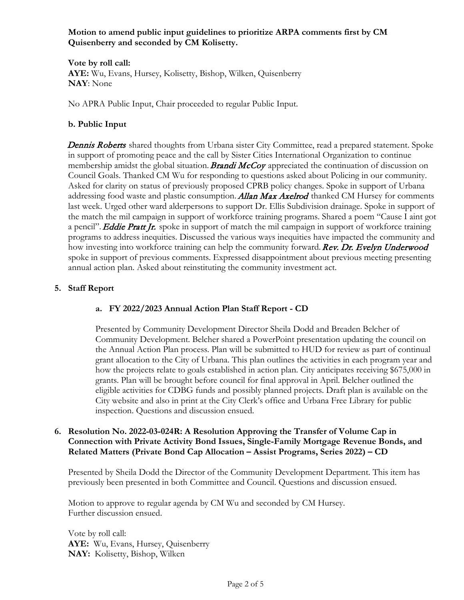## **Motion to amend public input guidelines to prioritize ARPA comments first by CM Quisenberry and seconded by CM Kolisetty.**

**Vote by roll call: AYE:** Wu, Evans, Hursey, Kolisetty, Bishop, Wilken, Quisenberry **NAY**: None

No APRA Public Input, Chair proceeded to regular Public Input.

## **b. Public Input**

**Dennis Roberts** shared thoughts from Urbana sister City Committee, read a prepared statement. Spoke in support of promoting peace and the call by Sister Cities International Organization to continue membership amidst the global situation. **Brandi McCoy** appreciated the continuation of discussion on Council Goals. Thanked CM Wu for responding to questions asked about Policing in our community. Asked for clarity on status of previously proposed CPRB policy changes. Spoke in support of Urbana addressing food waste and plastic consumption. Allan Max Axelrod thanked CM Hursey for comments last week. Urged other ward alderpersons to support Dr. Ellis Subdivision drainage. Spoke in support of the match the mil campaign in support of workforce training programs. Shared a poem "Cause I aint got a pencil". **Eddie Pratt Jr.** spoke in support of match the mil campaign in support of workforce training programs to address inequities. Discussed the various ways inequities have impacted the community and how investing into workforce training can help the community forward. Rev. Dr. Evelyn Underwood spoke in support of previous comments. Expressed disappointment about previous meeting presenting annual action plan. Asked about reinstituting the community investment act.

## **5. Staff Report**

# **a. FY 2022/2023 Annual Action Plan Staff Report - CD**

Presented by Community Development Director Sheila Dodd and Breaden Belcher of Community Development. Belcher shared a PowerPoint presentation updating the council on the Annual Action Plan process. Plan will be submitted to HUD for review as part of continual grant allocation to the City of Urbana. This plan outlines the activities in each program year and how the projects relate to goals established in action plan. City anticipates receiving \$675,000 in grants. Plan will be brought before council for final approval in April. Belcher outlined the eligible activities for CDBG funds and possibly planned projects. Draft plan is available on the City website and also in print at the City Clerk's office and Urbana Free Library for public inspection. Questions and discussion ensued.

#### **6. Resolution No. 2022-03-024R: A Resolution Approving the Transfer of Volume Cap in Connection with Private Activity Bond Issues, Single-Family Mortgage Revenue Bonds, and Related Matters (Private Bond Cap Allocation – Assist Programs, Series 2022) – CD**

Presented by Sheila Dodd the Director of the Community Development Department. This item has previously been presented in both Committee and Council. Questions and discussion ensued.

Motion to approve to regular agenda by CM Wu and seconded by CM Hursey. Further discussion ensued.

Vote by roll call: **AYE:** Wu, Evans, Hursey, Quisenberry **NAY:** Kolisetty, Bishop, Wilken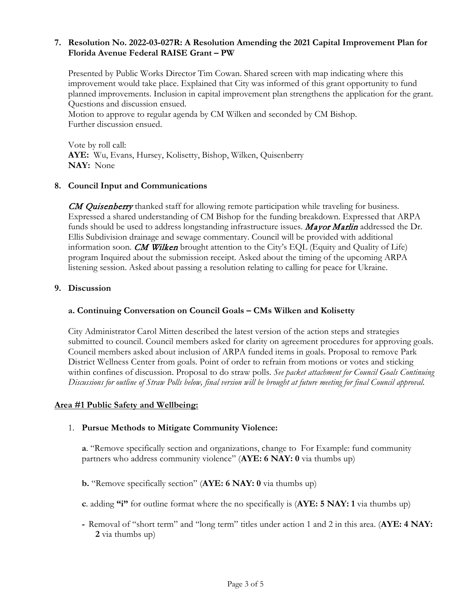#### **7. Resolution No. 2022-03-027R: A Resolution Amending the 2021 Capital Improvement Plan for Florida Avenue Federal RAISE Grant – PW**

Presented by Public Works Director Tim Cowan. Shared screen with map indicating where this improvement would take place. Explained that City was informed of this grant opportunity to fund planned improvements. Inclusion in capital improvement plan strengthens the application for the grant. Questions and discussion ensued.

Motion to approve to regular agenda by CM Wilken and seconded by CM Bishop. Further discussion ensued.

Vote by roll call: **AYE:** Wu, Evans, Hursey, Kolisetty, Bishop, Wilken, Quisenberry **NAY:** None

#### **8. Council Input and Communications**

**CM Quisenberry** thanked staff for allowing remote participation while traveling for business. Expressed a shared understanding of CM Bishop for the funding breakdown. Expressed that ARPA funds should be used to address longstanding infrastructure issues. Mayor Marlin addressed the Dr. Ellis Subdivision drainage and sewage commentary. Council will be provided with additional information soon. CM Wilken brought attention to the City's EQL (Equity and Quality of Life) program Inquired about the submission receipt. Asked about the timing of the upcoming ARPA listening session. Asked about passing a resolution relating to calling for peace for Ukraine.

#### **9. Discussion**

#### **a. Continuing Conversation on Council Goals – CMs Wilken and Kolisetty**

City Administrator Carol Mitten described the latest version of the action steps and strategies submitted to council. Council members asked for clarity on agreement procedures for approving goals. Council members asked about inclusion of ARPA funded items in goals. Proposal to remove Park District Wellness Center from goals. Point of order to refrain from motions or votes and sticking within confines of discussion. Proposal to do straw polls. *See packet attachment for Council Goals Continuing Discussions for outline of Straw Polls below, final version will be brought at future meeting for final Council approval.* 

#### **Area #1 Public Safety and Wellbeing:**

#### 1. **Pursue Methods to Mitigate Community Violence:**

**a**. "Remove specifically section and organizations, change to For Example: fund community partners who address community violence" (**AYE: 6 NAY: 0** via thumbs up)

**b.** "Remove specifically section" (**AYE: 6 NAY: 0** via thumbs up)

- **c**. adding **"i"** for outline format where the no specifically is (**AYE: 5 NAY: 1** via thumbs up)
- **-** Removal of "short term" and "long term" titles under action 1 and 2 in this area. (**AYE: 4 NAY: 2** via thumbs up)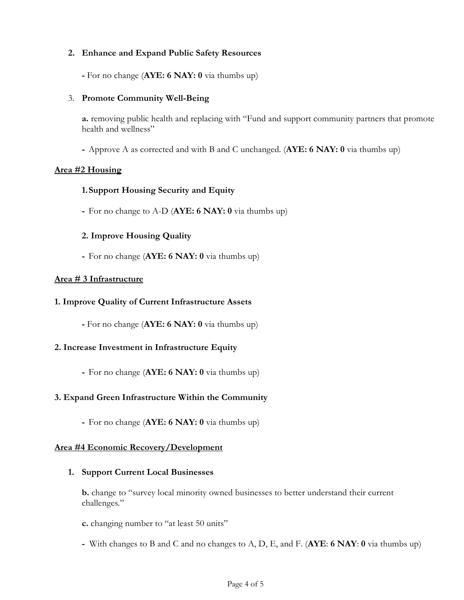### **2. Enhance and Expand Public Safety Resources**

**-** For no change (**AYE: 6 NAY: 0** via thumbs up)

## 3. **Promote Community Well-Being**

**a.** removing public health and replacing with "Fund and support community partners that promote health and wellness"

**-** Approve A as corrected and with B and C unchanged. (**AYE: 6 NAY: 0** via thumbs up)

## **Area #2 Housing**

# **1.Support Housing Security and Equity**

**-** For no change to A-D (**AYE: 6 NAY: 0** via thumbs up)

# **2. Improve Housing Quality**

**-** For no change (**AYE: 6 NAY: 0** via thumbs up)

## **Area # 3 Infrastructure**

#### **1. Improve Quality of Current Infrastructure Assets**

**-** For no change (**AYE: 6 NAY: 0** via thumbs up)

# **2. Increase Investment in Infrastructure Equity**

**-** For no change (**AYE: 6 NAY: 0** via thumbs up)

# **3. Expand Green Infrastructure Within the Community**

**-** For no change (**AYE: 6 NAY: 0** via thumbs up)

#### **Area #4 Economic Recovery/Development**

#### **1. Support Current Local Businesses**

**b.** change to "survey local minority owned businesses to better understand their current challenges."

- **c.** changing number to "at least 50 units"
- **-** With changes to B and C and no changes to A, D, E, and F. (**AYE**: **6 NAY**: **0** via thumbs up)